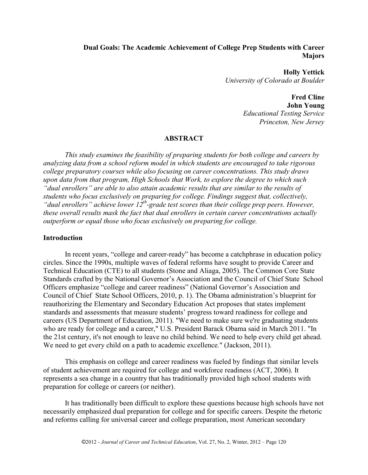# **Dual Goals: The Academic Achievement of College Prep Students with Career Majors**

**Holly Yettick** *University of Colorado at Boulder*

> **Fred Cline John Young**

*Educational Testing Service Princeton, New Jersey*

## **ABSTRACT**

*This study examines the feasibility of preparing students for both college and careers by analyzing data from a school reform model in which students are encouraged to take rigorous college preparatory courses while also focusing on career concentrations. This study draws upon data from that program, High Schools that Work, to explore the degree to which such "dual enrollers" are able to also attain academic results that are similar to the results of students who focus exclusively on preparing for college. Findings suggest that, collectively, "dual enrollers" achieve lower 12th-grade test scores than their college prep peers. However, these overall results mask the fact that dual enrollers in certain career concentrations actually outperform or equal those who focus exclusively on preparing for college.*

#### **Introduction**

In recent years, "college and career-ready" has become a catchphrase in education policy circles. Since the 1990s, multiple waves of federal reforms have sought to provide Career and Technical Education (CTE) to all students (Stone and Aliaga, 2005). The Common Core State Standards crafted by the National Governor's Association and the Council of Chief State School Officers emphasize "college and career readiness" (National Governor's Association and Council of Chief State School Officers, 2010, p. 1). The Obama administration's blueprint for reauthorizing the Elementary and Secondary Education Act proposes that states implement standards and assessments that measure students' progress toward readiness for college and careers (US Department of Education, 2011). "We need to make sure we're graduating students who are ready for college and a career," U.S. President Barack Obama said in March 2011. "In the 21st century, it's not enough to leave no child behind. We need to help every child get ahead. We need to get every child on a path to academic excellence." (Jackson, 2011).

This emphasis on college and career readiness was fueled by findings that similar levels of student achievement are required for college and workforce readiness (ACT, 2006). It represents a sea change in a country that has traditionally provided high school students with preparation for college or careers (or neither).

It has traditionally been difficult to explore these questions because high schools have not necessarily emphasized dual preparation for college and for specific careers. Despite the rhetoric and reforms calling for universal career and college preparation, most American secondary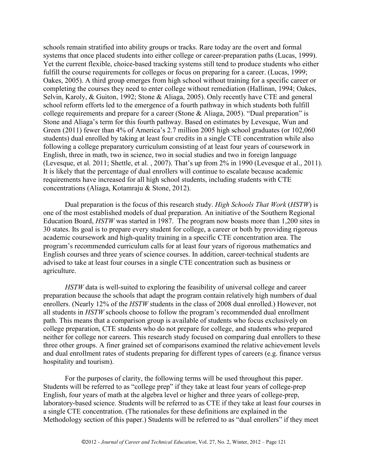schools remain stratified into ability groups or tracks. Rare today are the overt and formal systems that once placed students into either college or career-preparation paths (Lucas, 1999). Yet the current flexible, choice-based tracking systems still tend to produce students who either fulfill the course requirements for colleges or focus on preparing for a career. (Lucas, 1999; Oakes, 2005). A third group emerges from high school without training for a specific career or completing the courses they need to enter college without remediation (Hallinan, 1994; Oakes, Selvin, Karoly, & Guiton, 1992; Stone & Aliaga, 2005). Only recently have CTE and general school reform efforts led to the emergence of a fourth pathway in which students both fulfill college requirements and prepare for a career (Stone & Aliaga, 2005). "Dual preparation" is Stone and Aliaga's term for this fourth pathway. Based on estimates by Levesque, Wun and Green (2011) fewer than 4% of America's 2.7 million 2005 high school graduates (or 102,060 students) dual enrolled by taking at least four credits in a single CTE concentration while also following a college preparatory curriculum consisting of at least four years of coursework in English, three in math, two in science, two in social studies and two in foreign language (Levesque, et al. 2011; Shettle, et al. , 2007). That's up from 2% in 1990 (Levesque et al., 2011). It is likely that the percentage of dual enrollers will continue to escalate because academic requirements have increased for all high school students, including students with CTE concentrations (Aliaga, Kotamraju & Stone, 2012).

Dual preparation is the focus of this research study. *High Schools That Work* (*HSTW*) is one of the most established models of dual preparation. An initiative of the Southern Regional Education Board, *HSTW* was started in 1987. The program now boasts more than 1,200 sites in 30 states. Its goal is to prepare every student for college, a career or both by providing rigorous academic coursework and high-quality training in a specific CTE concentration area. The program's recommended curriculum calls for at least four years of rigorous mathematics and English courses and three years of science courses. In addition, career-technical students are advised to take at least four courses in a single CTE concentration such as business or agriculture.

*HSTW* data is well-suited to exploring the feasibility of universal college and career preparation because the schools that adapt the program contain relatively high numbers of dual enrollers. (Nearly 12% of the *HSTW* students in the class of 2008 dual enrolled.) However, not all students in *HSTW* schools choose to follow the program's recommended dual enrollment path. This means that a comparison group is available of students who focus exclusively on college preparation, CTE students who do not prepare for college, and students who prepared neither for college nor careers. This research study focused on comparing dual enrollers to these three other groups. A finer grained set of comparisons examined the relative achievement levels and dual enrollment rates of students preparing for different types of careers (e.g. finance versus hospitality and tourism).

For the purposes of clarity, the following terms will be used throughout this paper. Students will be referred to as "college prep" if they take at least four years of college-prep English, four years of math at the algebra level or higher and three years of college-prep, laboratory-based science. Students will be referred to as CTE if they take at least four courses in a single CTE concentration. (The rationales for these definitions are explained in the Methodology section of this paper.) Students will be referred to as "dual enrollers" if they meet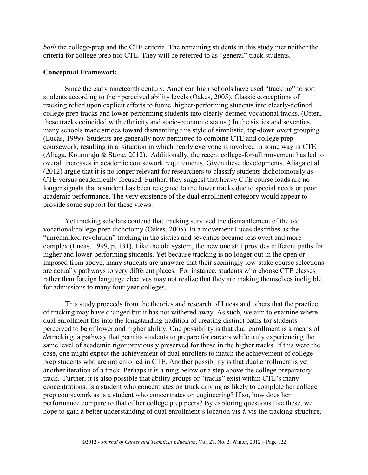*both* the college-prep and the CTE criteria. The remaining students in this study met neither the criteria for college prep nor CTE. They will be referred to as "general" track students.

## **Conceptual Framework**

Since the early nineteenth century, American high schools have used "tracking" to sort students according to their perceived ability levels (Oakes, 2005). Classic conceptions of tracking relied upon explicit efforts to funnel higher-performing students into clearly-defined college prep tracks and lower-performing students into clearly-defined vocational tracks. (Often, these tracks coincided with ethnicity and socio-economic status.) In the sixties and seventies, many schools made strides toward dismantling this style of simplistic, top-down overt grouping (Lucas, 1999). Students are generally now permitted to combine CTE and college prep coursework, resulting in a situation in which nearly everyone is involved in some way in CTE (Aliaga, Kotamraju & Stone, 2012). Additionally, the recent college-for-all movement has led to overall increases in academic coursework requirements. Given these developments, Aliaga et al. (2012) argue that it is no longer relevant for researchers to classify students dichotomously as CTE versus academically focused. Further, they suggest that heavy CTE course loads are no longer signals that a student has been relegated to the lower tracks due to special needs or poor academic performance. The very existence of the dual enrollment category would appear to provide some support for these views.

Yet tracking scholars contend that tracking survived the dismantlement of the old vocational/college prep dichotomy (Oakes, 2005). In a movement Lucas describes as the "unremarked revolution" tracking in the sixties and seventies became less overt and more complex (Lucas, 1999, p. 131). Like the old system, the new one still provides different paths for higher and lower-performing students. Yet because tracking is no longer out in the open or imposed from above, many students are unaware that their seemingly low-stake course selections are actually pathways to very different places. For instance, students who choose CTE classes rather than foreign language electives may not realize that they are making themselves ineligible for admissions to many four-year colleges.

This study proceeds from the theories and research of Lucas and others that the practice of tracking may have changed but it has not withered away. As such, we aim to examine where dual enrollment fits into the longstanding tradition of creating distinct paths for students perceived to be of lower and higher ability. One possibility is that dual enrollment is a means of *de*tracking, a pathway that permits students to prepare for careers while truly experiencing the same level of academic rigor previously preserved for those in the higher tracks. If this were the case, one might expect the achievement of dual enrollers to match the achievement of college prep students who are not enrolled in CTE. Another possibility is that dual enrollment is yet another iteration of a track. Perhaps it is a rung below or a step above the college preparatory track. Further, it is also possible that ability groups or "tracks" exist within CTE's many concentrations. Is a student who concentrates on truck driving as likely to complete her college prep coursework as is a student who concentrates on engineering? If so, how does her performance compare to that of her college prep peers? By exploring questions like these, we hope to gain a better understanding of dual enrollment's location vis-à-vis the tracking structure.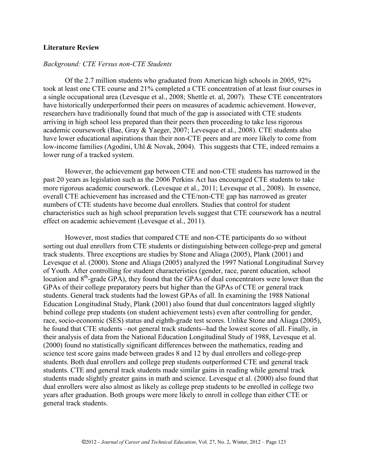#### **Literature Review**

#### *Background: CTE Versus non-CTE Students*

Of the 2.7 million students who graduated from American high schools in 2005, 92% took at least one CTE course and 21% completed a CTE concentration of at least four courses in a single occupational area (Levesque et al., 2008; Shettle et. al, 2007). These CTE concentrators have historically underperformed their peers on measures of academic achievement. However, researchers have traditionally found that much of the gap is associated with CTE students arriving in high school less prepared than their peers then proceeding to take less rigorous academic coursework (Bae, Gray & Yaeger, 2007; Levesque et al., 2008). CTE students also have lower educational aspirations than their non-CTE peers and are more likely to come from low-income families (Agodini, Uhl & Novak, 2004). This suggests that CTE, indeed remains a lower rung of a tracked system.

However, the achievement gap between CTE and non-CTE students has narrowed in the past 20 years as legislation such as the 2006 Perkins Act has encouraged CTE students to take more rigorous academic coursework. (Levesque et al., 2011; Levesque et al., 2008). In essence, overall CTE achievement has increased and the CTE/non-CTE gap has narrowed as greater numbers of CTE students have become dual enrollers. Studies that control for student characteristics such as high school preparation levels suggest that CTE coursework has a neutral effect on academic achievement (Levesque et al., 2011).

However, most studies that compared CTE and non-CTE participants do so without sorting out dual enrollers from CTE students or distinguishing between college-prep and general track students. Three exceptions are studies by Stone and Aliaga (2005), Plank (2001) and Levesque et al. (2000). Stone and Aliaga (2005) analyzed the 1997 National Longitudinal Survey of Youth. After controlling for student characteristics (gender, race, parent education, school location and  $8<sup>th</sup>$ -grade GPA), they found that the GPAs of dual concentrators were lower than the GPAs of their college preparatory peers but higher than the GPAs of CTE or general track students. General track students had the lowest GPAs of all. In examining the 1988 National Education Longitudinal Study, Plank (2001) also found that dual concentrators lagged slightly behind college prep students (on student achievement tests) even after controlling for gender, race, socio-economic (SES) status and eighth-grade test scores. Unlike Stone and Aliaga (2005), he found that CTE students –not general track students--had the lowest scores of all. Finally, in their analysis of data from the National Education Longitudinal Study of 1988, Levesque et al. (2000) found no statistically significant differences between the mathematics, reading and science test score gains made between grades 8 and 12 by dual enrollers and college-prep students. Both dual enrollers and college prep students outperformed CTE and general track students. CTE and general track students made similar gains in reading while general track students made slightly greater gains in math and science. Levesque et al. (2000) also found that dual enrollers were also almost as likely as college prep students to be enrolled in college two years after graduation. Both groups were more likely to enroll in college than either CTE or general track students.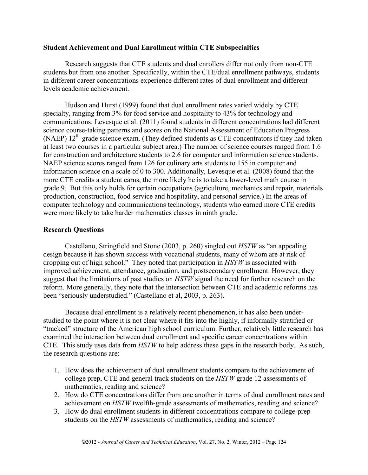### **Student Achievement and Dual Enrollment within CTE Subspecialties**

Research suggests that CTE students and dual enrollers differ not only from non-CTE students but from one another. Specifically, within the CTE/dual enrollment pathways, students in different career concentrations experience different rates of dual enrollment and different levels academic achievement.

Hudson and Hurst (1999) found that dual enrollment rates varied widely by CTE specialty, ranging from 3% for food service and hospitality to 43% for technology and communications. Levesque et al. (2011) found students in different concentrations had different science course-taking patterns and scores on the National Assessment of Education Progress (NAEP)  $12<sup>th</sup>$ -grade science exam. (They defined students as CTE concentrators if they had taken at least two courses in a particular subject area.) The number of science courses ranged from 1.6 for construction and architecture students to 2.6 for computer and information science students. NAEP science scores ranged from 126 for culinary arts students to 155 in computer and information science on a scale of 0 to 300. Additionally, Levesque et al. (2008) found that the more CTE credits a student earns, the more likely he is to take a lower-level math course in grade 9. But this only holds for certain occupations (agriculture, mechanics and repair, materials production, construction, food service and hospitality, and personal service.) In the areas of computer technology and communications technology, students who earned more CTE credits were more likely to take harder mathematics classes in ninth grade.

## **Research Questions**

Castellano, Stringfield and Stone (2003, p. 260) singled out *HSTW* as "an appealing design because it has shown success with vocational students, many of whom are at risk of dropping out of high school." They noted that participation in *HSTW* is associated with improved achievement, attendance, graduation, and postsecondary enrollment. However, they suggest that the limitations of past studies on *HSTW* signal the need for further research on the reform. More generally, they note that the intersection between CTE and academic reforms has been "seriously understudied." (Castellano et al, 2003, p. 263).

Because dual enrollment is a relatively recent phenomenon, it has also been understudied to the point where it is not clear where it fits into the highly, if informally stratified or "tracked" structure of the American high school curriculum. Further, relatively little research has examined the interaction between dual enrollment and specific career concentrations within CTE. This study uses data from *HSTW* to help address these gaps in the research body. As such, the research questions are:

- 1. How does the achievement of dual enrollment students compare to the achievement of college prep, CTE and general track students on the *HSTW* grade 12 assessments of mathematics, reading and science?
- 2. How do CTE concentrations differ from one another in terms of dual enrollment rates and achievement on *HSTW* twelfth-grade assessments of mathematics, reading and science?
- 3. How do dual enrollment students in different concentrations compare to college-prep students on the *HSTW* assessments of mathematics, reading and science?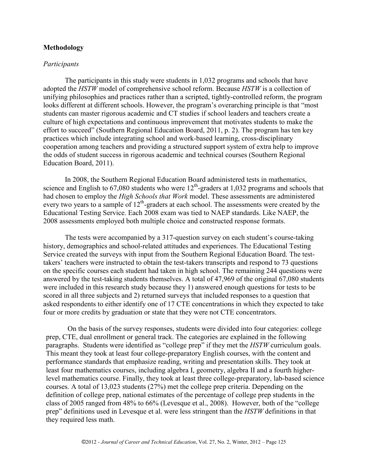#### **Methodology**

#### *Participants*

The participants in this study were students in 1,032 programs and schools that have adopted the *HSTW* model of comprehensive school reform. Because *HSTW* is a collection of unifying philosophies and practices rather than a scripted, tightly-controlled reform, the program looks different at different schools. However, the program's overarching principle is that "most students can master rigorous academic and CT studies if school leaders and teachers create a culture of high expectations and continuous improvement that motivates students to make the effort to succeed" (Southern Regional Education Board, 2011, p. 2). The program has ten key practices which include integrating school and work-based learning, cross-disciplinary cooperation among teachers and providing a structured support system of extra help to improve the odds of student success in rigorous academic and technical courses (Southern Regional Education Board, 2011).

In 2008, the Southern Regional Education Board administered tests in mathematics, science and English to  $67,080$  students who were  $12<sup>th</sup>$ -graders at 1,032 programs and schools that had chosen to employ the *High Schools that Work* model. These assessments are administered every two years to a sample of  $12<sup>th</sup>$ -graders at each school. The assessments were created by the Educational Testing Service. Each 2008 exam was tied to NAEP standards. Like NAEP, the 2008 assessments employed both multiple choice and constructed response formats.

The tests were accompanied by a 317-question survey on each student's course-taking history, demographics and school-related attitudes and experiences. The Educational Testing Service created the surveys with input from the Southern Regional Education Board. The testtakers' teachers were instructed to obtain the test-takers transcripts and respond to 73 questions on the specific courses each student had taken in high school. The remaining 244 questions were answered by the test-taking students themselves. A total of 47,969 of the original 67,080 students were included in this research study because they 1) answered enough questions for tests to be scored in all three subjects and 2) returned surveys that included responses to a question that asked respondents to either identify one of 17 CTE concentrations in which they expected to take four or more credits by graduation or state that they were not CTE concentrators.

On the basis of the survey responses, students were divided into four categories: college prep, CTE, dual enrollment or general track. The categories are explained in the following paragraphs. Students were identified as "college prep" if they met the *HSTW* curriculum goals. This meant they took at least four college-preparatory English courses, with the content and performance standards that emphasize reading, writing and presentation skills. They took at least four mathematics courses, including algebra I, geometry, algebra II and a fourth higherlevel mathematics course. Finally, they took at least three college-preparatory, lab-based science courses. A total of 13,023 students (27%) met the college prep criteria. Depending on the definition of college prep, national estimates of the percentage of college prep students in the class of 2005 ranged from 48% to 66% (Levesque et al., 2008). However, both of the "college prep" definitions used in Levesque et al. were less stringent than the *HSTW* definitions in that they required less math.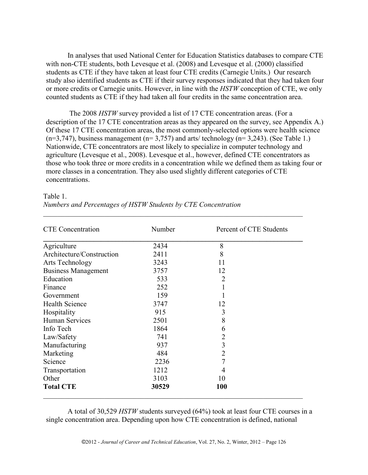In analyses that used National Center for Education Statistics databases to compare CTE with non-CTE students, both Levesque et al. (2008) and Levesque et al. (2000) classified students as CTE if they have taken at least four CTE credits (Carnegie Units.) Our research study also identified students as CTE if their survey responses indicated that they had taken four or more credits or Carnegie units. However, in line with the *HSTW* conception of CTE, we only counted students as CTE if they had taken all four credits in the same concentration area.

The 2008 *HSTW* survey provided a list of 17 CTE concentration areas. (For a description of the 17 CTE concentration areas as they appeared on the survey, see Appendix A.) Of these 17 CTE concentration areas, the most commonly-selected options were health science  $(n=3,747)$ , business management  $(n=3,757)$  and arts/ technology  $(n=3,243)$ . (See Table 1.) Nationwide, CTE concentrators are most likely to specialize in computer technology and agriculture (Levesque et al., 2008). Levesque et al., however, defined CTE concentrators as those who took three or more credits in a concentration while we defined them as taking four or more classes in a concentration. They also used slightly different categories of CTE concentrations.

| <b>CTE</b> Concentration   | Number | Percent of CTE Students |
|----------------------------|--------|-------------------------|
| Agriculture                | 2434   | 8                       |
| Architecture/Construction  | 2411   | 8                       |
| Arts Technology            | 3243   | 11                      |
| <b>Business Management</b> | 3757   | 12                      |
| Education                  | 533    | $\overline{2}$          |
| Finance                    | 252    |                         |
| Government                 | 159    |                         |
| <b>Health Science</b>      | 3747   | 12                      |
| Hospitality                | 915    | 3                       |
| <b>Human Services</b>      | 2501   | 8                       |
| Info Tech                  | 1864   | 6                       |
| Law/Safety                 | 741    | $\overline{2}$          |
| Manufacturing              | 937    | $\overline{3}$          |
| Marketing                  | 484    | $\overline{2}$          |
| Science                    | 2236   | 7                       |
| Transportation             | 1212   | 4                       |
| Other                      | 3103   | 10                      |
| <b>Total CTE</b>           | 30529  | <b>100</b>              |

\_\_\_\_\_\_\_\_\_\_\_\_\_\_\_\_\_\_\_\_\_\_\_\_\_\_\_\_\_\_\_\_\_\_\_\_\_\_\_\_\_\_\_\_\_\_\_\_\_\_\_\_\_\_\_\_\_\_\_\_\_\_\_\_\_\_\_\_\_\_\_\_

Table 1.

| Numbers and Percentages of HSTW Students by CTE Concentration |  |  |  |
|---------------------------------------------------------------|--|--|--|
|---------------------------------------------------------------|--|--|--|

A total of 30,529 *HSTW* students surveyed (64%) took at least four CTE courses in a single concentration area. Depending upon how CTE concentration is defined, national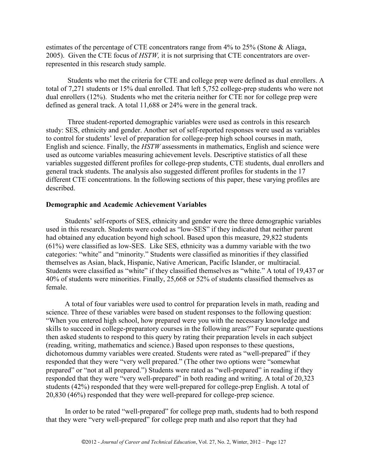estimates of the percentage of CTE concentrators range from 4% to 25% (Stone & Aliaga, 2005). Given the CTE focus of *HSTW,* it is not surprising that CTE concentrators are overrepresented in this research study sample.

Students who met the criteria for CTE and college prep were defined as dual enrollers. A total of 7,271 students or 15% dual enrolled. That left 5,752 college-prep students who were not dual enrollers (12%). Students who met the criteria neither for CTE nor for college prep were defined as general track. A total 11,688 or 24% were in the general track.

Three student-reported demographic variables were used as controls in this research study: SES, ethnicity and gender. Another set of self-reported responses were used as variables to control for students' level of preparation for college-prep high school courses in math, English and science. Finally, the *HSTW* assessments in mathematics, English and science were used as outcome variables measuring achievement levels. Descriptive statistics of all these variables suggested different profiles for college-prep students, CTE students, dual enrollers and general track students. The analysis also suggested different profiles for students in the 17 different CTE concentrations. In the following sections of this paper, these varying profiles are described.

## **Demographic and Academic Achievement Variables**

Students' self-reports of SES, ethnicity and gender were the three demographic variables used in this research. Students were coded as "low-SES" if they indicated that neither parent had obtained any education beyond high school. Based upon this measure, 29,822 students (61%) were classified as low-SES. Like SES, ethnicity was a dummy variable with the two categories: "white" and "minority." Students were classified as minorities if they classified themselves as Asian, black, Hispanic, Native American, Pacific Islander, or multiracial. Students were classified as "white" if they classified themselves as "white." A total of 19,437 or 40% of students were minorities. Finally, 25,668 or 52% of students classified themselves as female.

A total of four variables were used to control for preparation levels in math, reading and science. Three of these variables were based on student responses to the following question: "When you entered high school, how prepared were you with the necessary knowledge and skills to succeed in college-preparatory courses in the following areas?" Four separate questions then asked students to respond to this query by rating their preparation levels in each subject (reading, writing, mathematics and science.) Based upon responses to these questions, dichotomous dummy variables were created. Students were rated as "well-prepared" if they responded that they were "very well prepared." (The other two options were "somewhat prepared" or "not at all prepared.") Students were rated as "well-prepared" in reading if they responded that they were "very well-prepared" in both reading and writing. A total of 20,323 students (42%) responded that they were well-prepared for college-prep English. A total of 20,830 (46%) responded that they were well-prepared for college-prep science.

In order to be rated "well-prepared" for college prep math, students had to both respond that they were "very well-prepared" for college prep math and also report that they had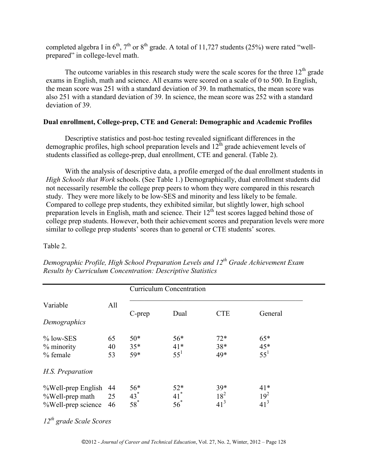completed algebra I in  $6<sup>th</sup>$ ,  $7<sup>th</sup>$  or  $8<sup>th</sup>$  grade. A total of 11,727 students (25%) were rated "wellprepared" in college-level math.

The outcome variables in this research study were the scale scores for the three  $12<sup>th</sup>$  grade exams in English, math and science. All exams were scored on a scale of 0 to 500. In English, the mean score was 251 with a standard deviation of 39. In mathematics, the mean score was also 251 with a standard deviation of 39. In science, the mean score was 252 with a standard deviation of 39.

## **Dual enrollment, College-prep, CTE and General: Demographic and Academic Profiles**

Descriptive statistics and post-hoc testing revealed significant differences in the demographic profiles, high school preparation levels and  $12^{th}$  grade achievement levels of students classified as college-prep, dual enrollment, CTE and general. (Table 2).

With the analysis of descriptive data, a profile emerged of the dual enrollment students in *High Schools that Work* schools. (See Table 1.) Demographically, dual enrollment students did not necessarily resemble the college prep peers to whom they were compared in this research study. They were more likely to be low-SES and minority and less likely to be female. Compared to college prep students, they exhibited similar, but slightly lower, high school preparation levels in English, math and science. Their 12<sup>th</sup> test scores lagged behind those of college prep students. However, both their achievement scores and preparation levels were more similar to college prep students' scores than to general or CTE students' scores.

## Table 2.

|                                                             |                | <b>Curriculum Concentration</b> |                                      |                           |                             |  |
|-------------------------------------------------------------|----------------|---------------------------------|--------------------------------------|---------------------------|-----------------------------|--|
| Variable                                                    | All            | C-prep                          | Dual                                 | <b>CTE</b>                | General                     |  |
| Demographics                                                |                |                                 |                                      |                           |                             |  |
| $%$ low-SES<br>% minority<br>% female                       | 65<br>40<br>53 | $50*$<br>$35*$<br>59*           | $56*$<br>$41*$<br>$55^1$             | $72*$<br>$38*$<br>49*     | $65*$<br>$45*$<br>$55^1$    |  |
| H.S. Preparation                                            |                |                                 |                                      |                           |                             |  |
| %Well-prep English<br>%Well-prep math<br>%Well-prep science | 44<br>25<br>46 | $56*$<br>$43*$<br>$58^*$        | $52*$<br>$41$ <sup>*</sup><br>$56^*$ | 39*<br>$18^2$<br>$41^{3}$ | $41*$<br>$19^{2}$<br>$41^3$ |  |

*Demographic Profile, High School Preparation Levels and 12th Grade Achievement Exam Results by Curriculum Concentration: Descriptive Statistics*

*12th grade Scale Scores*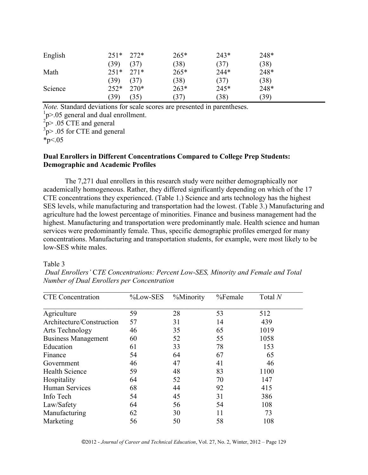| English | $251*$ | 272*   | $265*$ | $243*$ | 248* |
|---------|--------|--------|--------|--------|------|
|         | (39)   | (37)   | (38)   | (37)   | (38) |
| Math    | $251*$ | $271*$ | $265*$ | $244*$ | 248* |
|         | (39)   | (37)   | (38)   | (37)   | (38) |
| Science | $252*$ | $270*$ | $263*$ | $245*$ | 248* |
|         | (39)   | (35)   | (37)   | (38)   | (39) |

*Note.* Standard deviations for scale scores are presented in parentheses.

 $1p$  $> 05$  general and dual enrollment.

 $^{2}$ p> .05 CTE and general<br> $^{3}$ p> .05 for CTE and general

\*p $< 05$ 

## **Dual Enrollers in Different Concentrations Compared to College Prep Students: Demographic and Academic Profiles**

The 7,271 dual enrollers in this research study were neither demographically nor academically homogeneous. Rather, they differed significantly depending on which of the 17 CTE concentrations they experienced. (Table 1.) Science and arts technology has the highest SES levels, while manufacturing and transportation had the lowest. (Table 3.) Manufacturing and agriculture had the lowest percentage of minorities. Finance and business management had the highest. Manufacturing and transportation were predominantly male. Health science and human services were predominantly female. Thus, specific demographic profiles emerged for many concentrations. Manufacturing and transportation students, for example, were most likely to be low-SES white males.

## Table 3

| <b>CTE</b> Concentration   | %Low-SES | %Minority | %Female | Total $N$ |
|----------------------------|----------|-----------|---------|-----------|
| Agriculture                | 59       | 28        | 53      | 512       |
| Architecture/Construction  | 57       | 31        | 14      | 439       |
| Arts Technology            | 46       | 35        | 65      | 1019      |
| <b>Business Management</b> | 60       | 52        | 55      | 1058      |
| Education                  | 61       | 33        | 78      | 153       |
| Finance                    | 54       | 64        | 67      | 65        |
| Government                 | 46       | 47        | 41      | 46        |
| <b>Health Science</b>      | 59       | 48        | 83      | 1100      |
| Hospitality                | 64       | 52        | 70      | 147       |
| <b>Human Services</b>      | 68       | 44        | 92      | 415       |
| Info Tech                  | 54       | 45        | 31      | 386       |
| Law/Safety                 | 64       | 56        | 54      | 108       |
| Manufacturing              | 62       | 30        | 11      | 73        |
| Marketing                  | 56       | 50        | 58      | 108       |

*Dual Enrollers'* C*TE Concentrations: Percent Low-SES, Minority and Female and Total Number of Dual Enrollers per Concentration*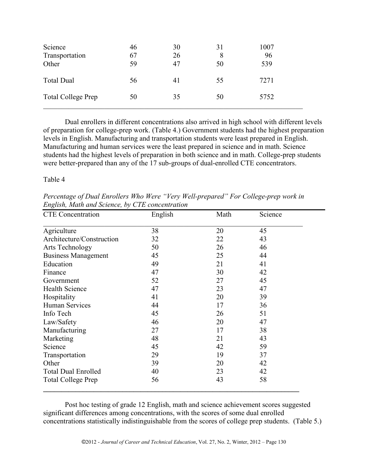| Science<br>Transportation<br>Other | 46<br>67<br>59 | 30<br>26<br>47 | 31<br>8<br>50 | 1007<br>96<br>539 |
|------------------------------------|----------------|----------------|---------------|-------------------|
| <b>Total Dual</b>                  | 56             | 41             | 55            | 7271              |
| <b>Total College Prep</b>          | 50             | 35             | 50            | 5752              |

Dual enrollers in different concentrations also arrived in high school with different levels of preparation for college-prep work. (Table 4.) Government students had the highest preparation levels in English. Manufacturing and transportation students were least prepared in English. Manufacturing and human services were the least prepared in science and in math. Science students had the highest levels of preparation in both science and in math. College-prep students were better-prepared than any of the 17 sub-groups of dual-enrolled CTE concentrators.

Table 4

*Percentage of Dual Enrollers Who Were "Very Well-prepared" For College-prep work in English, Math and Science, by CTE concentration*

| <b>CTE</b> Concentration   | English | Math | Science |  |
|----------------------------|---------|------|---------|--|
| Agriculture                | 38      | 20   | 45      |  |
| Architecture/Construction  | 32      | 22   | 43      |  |
| Arts Technology            | 50      | 26   | 46      |  |
| <b>Business Management</b> | 45      | 25   | 44      |  |
| Education                  | 49      | 21   | 41      |  |
| Finance                    | 47      | 30   | 42      |  |
| Government                 | 52      | 27   | 45      |  |
| <b>Health Science</b>      | 47      | 23   | 47      |  |
| Hospitality                | 41      | 20   | 39      |  |
| Human Services             | 44      | 17   | 36      |  |
| Info Tech                  | 45      | 26   | 51      |  |
| Law/Safety                 | 46      | 20   | 47      |  |
| Manufacturing              | 27      | 17   | 38      |  |
| Marketing                  | 48      | 21   | 43      |  |
| Science                    | 45      | 42   | 59      |  |
| Transportation             | 29      | 19   | 37      |  |
| Other                      | 39      | 20   | 42      |  |
| <b>Total Dual Enrolled</b> | 40      | 23   | 42      |  |
| <b>Total College Prep</b>  | 56      | 43   | 58      |  |

Post hoc testing of grade 12 English, math and science achievement scores suggested significant differences among concentrations, with the scores of some dual enrolled concentrations statistically indistinguishable from the scores of college prep students. (Table 5.)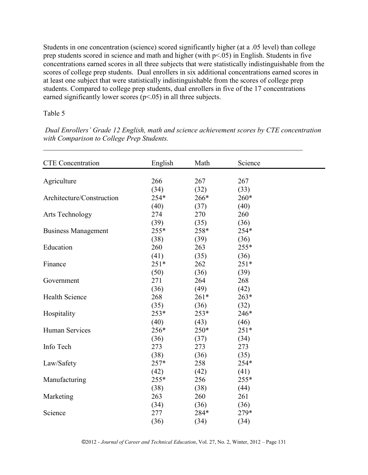Students in one concentration (science) scored significantly higher (at a .05 level) than college prep students scored in science and math and higher (with p<.05) in English. Students in five concentrations earned scores in all three subjects that were statistically indistinguishable from the scores of college prep students. Dual enrollers in six additional concentrations earned scores in at least one subject that were statistically indistinguishable from the scores of college prep students. Compared to college prep students, dual enrollers in five of the 17 concentrations earned significantly lower scores  $(p<0.05)$  in all three subjects.

# Table 5

*Dual Enrollers' Grade 12 English, math and science achievement scores by CTE concentration with Comparison to College Prep Students.*

\_\_\_\_\_\_\_\_\_\_\_\_\_\_\_\_\_\_\_\_\_\_\_\_\_\_\_\_\_\_\_\_\_\_\_\_\_\_\_\_\_\_\_\_\_\_\_\_\_\_\_\_\_\_\_\_\_\_\_\_\_\_\_\_\_\_\_\_\_\_\_\_

| <b>CTE</b> Concentration   | English | Math   | Science |  |
|----------------------------|---------|--------|---------|--|
|                            |         |        |         |  |
| Agriculture                | 266     | 267    | 267     |  |
|                            | (34)    | (32)   | (33)    |  |
| Architecture/Construction  | 254*    | 266*   | 260*    |  |
|                            | (40)    | (37)   | (40)    |  |
| Arts Technology            | 274     | 270    | 260     |  |
|                            | (39)    | (35)   | (36)    |  |
| <b>Business Management</b> | 255*    | 258*   | 254*    |  |
|                            | (38)    | (39)   | (36)    |  |
| Education                  | 260     | 263    | 255*    |  |
|                            | (41)    | (35)   | (36)    |  |
| Finance                    | $251*$  | 262    | $251*$  |  |
|                            | (50)    | (36)   | (39)    |  |
| Government                 | 271     | 264    | 268     |  |
|                            | (36)    | (49)   | (42)    |  |
| <b>Health Science</b>      | 268     | $261*$ | $263*$  |  |
|                            | (35)    | (36)   | (32)    |  |
| Hospitality                | $253*$  | 253*   | 246*    |  |
|                            | (40)    | (43)   | (46)    |  |
| <b>Human Services</b>      | 256*    | $250*$ | $251*$  |  |
|                            | (36)    | (37)   | (34)    |  |
| Info Tech                  | 273     | 273    | 273     |  |
|                            | (38)    | (36)   | (35)    |  |
| Law/Safety                 | $257*$  | 258    | 254*    |  |
|                            | (42)    | (42)   | (41)    |  |
| Manufacturing              | 255*    | 256    | 255*    |  |
|                            | (38)    | (38)   | (44)    |  |
| Marketing                  | 263     | 260    | 261     |  |
|                            | (34)    | (36)   | (36)    |  |
| Science                    | 277     | 284*   | 279*    |  |
|                            | (36)    | (34)   | (34)    |  |
|                            |         |        |         |  |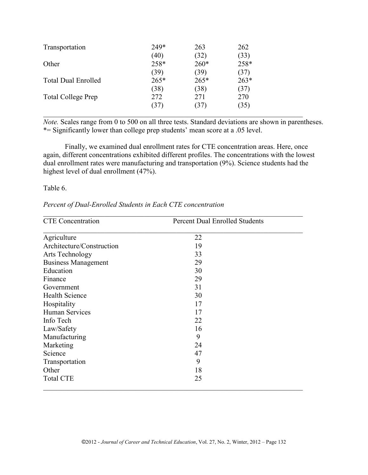| Transportation             | 249*   | 263    | 262    |  |
|----------------------------|--------|--------|--------|--|
|                            | (40)   | (32)   | (33)   |  |
| Other                      | 258*   | $260*$ | 258*   |  |
|                            | (39)   | (39)   | (37)   |  |
| <b>Total Dual Enrolled</b> | $265*$ | $265*$ | $263*$ |  |
|                            | (38)   | (38)   | (37)   |  |
| <b>Total College Prep</b>  | 272    | 271    | 270    |  |
|                            | (37)   | (37)   | (35)   |  |
|                            |        |        |        |  |

*Note.* Scales range from 0 to 500 on all three tests. Standard deviations are shown in parentheses. \*= Significantly lower than college prep students' mean score at a .05 level.

Finally, we examined dual enrollment rates for CTE concentration areas. Here, once again, different concentrations exhibited different profiles. The concentrations with the lowest dual enrollment rates were manufacturing and transportation (9%). Science students had the highest level of dual enrollment (47%).

#### Table 6.

| Percent of Dual-Enrolled Students in Each CTE concentration |  |
|-------------------------------------------------------------|--|
|                                                             |  |

| <b>CTE</b> Concentration   | <b>Percent Dual Enrolled Students</b> |  |  |
|----------------------------|---------------------------------------|--|--|
| Agriculture                | 22                                    |  |  |
| Architecture/Construction  | 19                                    |  |  |
| Arts Technology            | 33                                    |  |  |
| <b>Business Management</b> | 29                                    |  |  |
| Education                  | 30                                    |  |  |
| Finance                    | 29                                    |  |  |
| Government                 | 31                                    |  |  |
| <b>Health Science</b>      | 30                                    |  |  |
| Hospitality                | 17                                    |  |  |
| Human Services             | 17                                    |  |  |
| Info Tech                  | 22                                    |  |  |
| Law/Safety                 | 16                                    |  |  |
| Manufacturing              | 9                                     |  |  |
| Marketing                  | 24                                    |  |  |
| Science                    | 47                                    |  |  |
| Transportation             | 9                                     |  |  |
| Other                      | 18                                    |  |  |
| <b>Total CTE</b>           | 25                                    |  |  |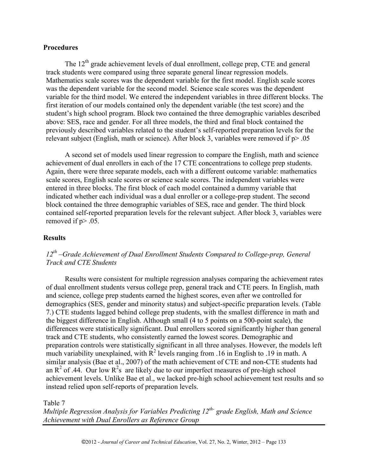#### **Procedures**

The  $12<sup>th</sup>$  grade achievement levels of dual enrollment, college prep, CTE and general track students were compared using three separate general linear regression models. Mathematics scale scores was the dependent variable for the first model. English scale scores was the dependent variable for the second model. Science scale scores was the dependent variable for the third model. We entered the independent variables in three different blocks. The first iteration of our models contained only the dependent variable (the test score) and the student's high school program. Block two contained the three demographic variables described above: SES, race and gender. For all three models, the third and final block contained the previously described variables related to the student's self-reported preparation levels for the relevant subject (English, math or science). After block 3, variables were removed if p> .05

A second set of models used linear regression to compare the English, math and science achievement of dual enrollers in each of the 17 CTE concentrations to college prep students. Again, there were three separate models, each with a different outcome variable: mathematics scale scores, English scale scores or science scale scores. The independent variables were entered in three blocks. The first block of each model contained a dummy variable that indicated whether each individual was a dual enroller or a college-prep student. The second block contained the three demographic variables of SES, race and gender. The third block contained self-reported preparation levels for the relevant subject. After block 3, variables were removed if p> .05.

#### **Results**

# *12th –Grade Achievement of Dual Enrollment Students Compared to College-prep, General Track and CTE Students*

Results were consistent for multiple regression analyses comparing the achievement rates of dual enrollment students versus college prep, general track and CTE peers. In English, math and science, college prep students earned the highest scores, even after we controlled for demographics (SES, gender and minority status) and subject-specific preparation levels. (Table 7.) CTE students lagged behind college prep students, with the smallest difference in math and the biggest difference in English. Although small (4 to 5 points on a 500-point scale), the differences were statistically significant. Dual enrollers scored significantly higher than general track and CTE students, who consistently earned the lowest scores. Demographic and preparation controls were statistically significant in all three analyses. However, the models left much variability unexplained, with  $\mathbb{R}^2$  levels ranging from .16 in English to .19 in math. A similar analysis (Bae et al., 2007) of the math achievement of CTE and non-CTE students had an  $R^2$  of .44. Our low  $R^2$ s are likely due to our imperfect measures of pre-high school achievement levels. Unlike Bae et al., we lacked pre-high school achievement test results and so instead relied upon self-reports of preparation levels.

#### Table 7

*Multiple Regression Analysis for Variables Predicting 12th- grade English, Math and Science Achievement with Dual Enrollers as Reference Group*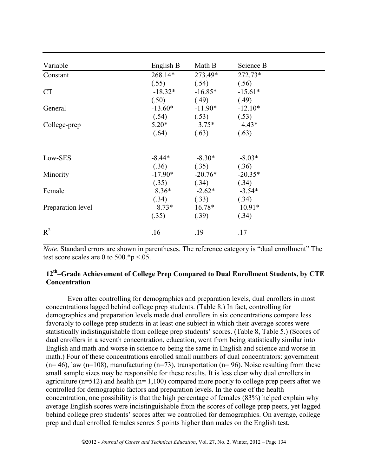| Variable          | English B | Math B    | Science B |
|-------------------|-----------|-----------|-----------|
| Constant          | $268.14*$ | 273.49*   | 272.73*   |
|                   | (.55)     | (.54)     | (.56)     |
| <b>CT</b>         | $-18.32*$ | $-16.85*$ | $-15.61*$ |
|                   | (.50)     | (.49)     | (.49)     |
| General           | $-13.60*$ | $-11.90*$ | $-12.10*$ |
|                   | (.54)     | (.53)     | (.53)     |
| College-prep      | $5.20*$   | $3.75*$   | $4.43*$   |
|                   | (.64)     | (.63)     | (.63)     |
|                   |           |           |           |
| Low-SES           | $-8.44*$  | $-8.30*$  | $-8.03*$  |
|                   | (.36)     | (.35)     | (.36)     |
| Minority          | $-17.90*$ | $-20.76*$ | $-20.35*$ |
|                   | (.35)     | (.34)     | (.34)     |
| Female            | $8.36*$   | $-2.62*$  | $-3.54*$  |
|                   | (.34)     | (.33)     | (.34)     |
| Preparation level | $8.73*$   | $16.78*$  | $10.91*$  |
|                   | (.35)     | (.39)     | (.34)     |
| $R^2$             | .16       | .19       | .17       |

*Note*. Standard errors are shown in parentheses. The reference category is "dual enrollment" The test score scales are 0 to  $500.*p < .05$ .

# **12th –Grade Achievement of College Prep Compared to Dual Enrollment Students, by CTE Concentration**

Even after controlling for demographics and preparation levels, dual enrollers in most concentrations lagged behind college prep students. (Table 8.) In fact, controlling for demographics and preparation levels made dual enrollers in six concentrations compare less favorably to college prep students in at least one subject in which their average scores were statistically indistinguishable from college prep students' scores. (Table 8, Table 5.) (Scores of dual enrollers in a seventh concentration, education, went from being statistically similar into English and math and worse in science to being the same in English and science and worse in math.) Four of these concentrations enrolled small numbers of dual concentrators: government  $(n=46)$ , law  $(n=108)$ , manufacturing  $(n=73)$ , transportation  $(n=96)$ . Noise resulting from these small sample sizes may be responsible for these results. It is less clear why dual enrollers in agriculture ( $n=512$ ) and health ( $n=1,100$ ) compared more poorly to college prep peers after we controlled for demographic factors and preparation levels. In the case of the health concentration, one possibility is that the high percentage of females (83%) helped explain why average English scores were indistinguishable from the scores of college prep peers, yet lagged behind college prep students' scores after we controlled for demographics. On average, college prep and dual enrolled females scores 5 points higher than males on the English test.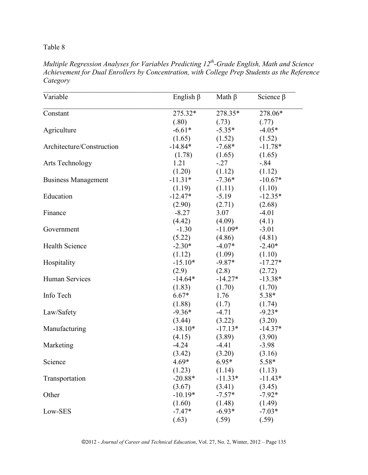# Table 8

*Multiple Regression Analyses for Variables Predicting 12th-Grade English, Math and Science Achievement for Dual Enrollers by Concentration, with College Prep Students as the Reference Category*

| Variable                   | English $\beta$ | Math $\beta$ | Science $\beta$ |
|----------------------------|-----------------|--------------|-----------------|
| Constant                   | 275.32*         | 278.35*      | 278.06*         |
|                            | (.80)           | (.73)        | (.77)           |
| Agriculture                | $-6.61*$        | $-5.35*$     | $-4.05*$        |
|                            | (1.65)          | (1.52)       | (1.52)          |
| Architecture/Construction  | $-14.84*$       | $-7.68*$     | $-11.78*$       |
|                            | (1.78)          | (1.65)       | (1.65)          |
| Arts Technology            | 1.21            | $-.27$       | $-.84$          |
|                            | (1.20)          | (1.12)       | (1.12)          |
| <b>Business Management</b> | $-11.31*$       | $-7.36*$     | $-10.67*$       |
|                            | (1.19)          | (1.11)       | (1.10)          |
| Education                  | $-12.47*$       | $-5.19$      | $-12.35*$       |
|                            | (2.90)          | (2.71)       | (2.68)          |
| Finance                    | $-8.27$         | 3.07         | $-4.01$         |
|                            | (4.42)          | (4.09)       | (4.1)           |
| Government                 | $-1.30$         | $-11.09*$    | $-3.01$         |
|                            | (5.22)          | (4.86)       | (4.81)          |
| <b>Health Science</b>      | $-2.30*$        | $-4.07*$     | $-2.40*$        |
|                            | (1.12)          | (1.09)       | (1.10)          |
| Hospitality                | $-15.10*$       | $-9.87*$     | $-17.27*$       |
|                            | (2.9)           | (2.8)        | (2.72)          |
| Human Services             | $-14.64*$       | $-14.27*$    | $-13.38*$       |
|                            | (1.83)          | (1.70)       | (1.70)          |
| Info Tech                  | $6.67*$         | 1.76         | $5.38*$         |
|                            | (1.88)          | (1.7)        | (1.74)          |
| Law/Safety                 | $-9.36*$        | $-4.71$      | $-9.23*$        |
|                            | (3.44)          | (3.22)       | (3.20)          |
| Manufacturing              | $-18.10*$       | $-17.13*$    | $-14.37*$       |
|                            | (4.15)          | (3.89)       | (3.90)          |
| Marketing                  | $-4.24$         | $-4.41$      | $-3.98$         |
|                            | (3.42)          | (3.20)       | (3.16)          |
| Science                    | $4.69*$         | $6.95*$      | 5.58*           |
|                            | (1.23)          | (1.14)       | (1.13)          |
| Transportation             | $-20.88*$       | $-11.33*$    | $-11.43*$       |
|                            | (3.67)          | (3.41)       | (3.45)          |
| Other                      | $-10.19*$       | $-7.57*$     | $-7.92*$        |
|                            | (1.60)          | (1.48)       | (1.49)          |
| Low-SES                    | $-7.47*$        | $-6.93*$     | $-7.03*$        |
|                            | (.63)           | (.59)        | (.59)           |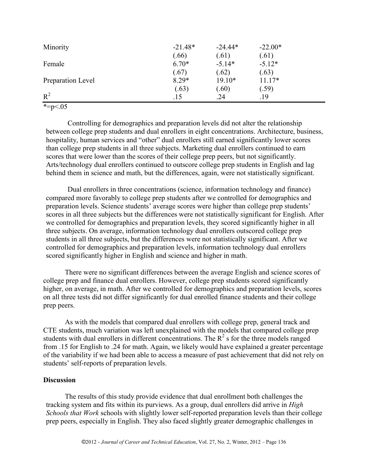| Minority          | $-21.48*$ | $-24.44*$ | $-22.00*$ |
|-------------------|-----------|-----------|-----------|
|                   | (.66)     | (.61)     | (.61)     |
| Female            | $6.70*$   | $-5.14*$  | $-5.12*$  |
|                   | (.67)     | (.62)     | (.63)     |
| Preparation Level | $8.29*$   | $19.10*$  | $11.17*$  |
|                   | (.63)     | (.60)     | (.59)     |
| $R^2$             | .15       | .24       | .19       |

\*= $p < 0.05$ 

Controlling for demographics and preparation levels did not alter the relationship between college prep students and dual enrollers in eight concentrations. Architecture, business, hospitality, human services and "other" dual enrollers still earned significantly lower scores than college prep students in all three subjects. Marketing dual enrollers continued to earn scores that were lower than the scores of their college prep peers, but not significantly. Arts/technology dual enrollers continued to outscore college prep students in English and lag behind them in science and math, but the differences, again, were not statistically significant.

Dual enrollers in three concentrations (science, information technology and finance) compared more favorably to college prep students after we controlled for demographics and preparation levels. Science students' average scores were higher than college prep students' scores in all three subjects but the differences were not statistically significant for English. After we controlled for demographics and preparation levels, they scored significantly higher in all three subjects. On average, information technology dual enrollers outscored college prep students in all three subjects, but the differences were not statistically significant. After we controlled for demographics and preparation levels, information technology dual enrollers scored significantly higher in English and science and higher in math.

There were no significant differences between the average English and science scores of college prep and finance dual enrollers. However, college prep students scored significantly higher, on average, in math. After we controlled for demographics and preparation levels, scores on all three tests did not differ significantly for dual enrolled finance students and their college prep peers.

As with the models that compared dual enrollers with college prep, general track and CTE students, much variation was left unexplained with the models that compared college prep students with dual enrollers in different concentrations. The  $R^2$  s for the three models ranged from .15 for English to .24 for math. Again, we likely would have explained a greater percentage of the variability if we had been able to access a measure of past achievement that did not rely on students' self-reports of preparation levels.

## **Discussion**

The results of this study provide evidence that dual enrollment both challenges the tracking system and fits within its purviews. As a group, dual enrollers did arrive in *High Schools that Work* schools with slightly lower self-reported preparation levels than their college prep peers, especially in English. They also faced slightly greater demographic challenges in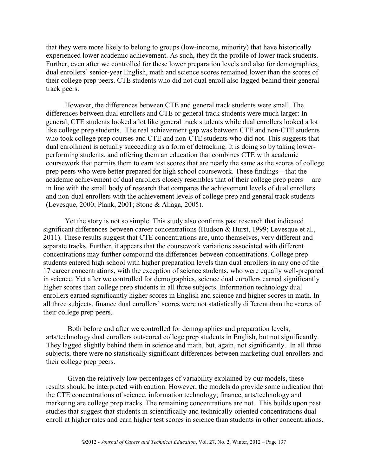that they were more likely to belong to groups (low-income, minority) that have historically experienced lower academic achievement. As such, they fit the profile of lower track students. Further, even after we controlled for these lower preparation levels and also for demographics, dual enrollers' senior-year English, math and science scores remained lower than the scores of their college prep peers. CTE students who did not dual enroll also lagged behind their general track peers.

However, the differences between CTE and general track students were small. The differences between dual enrollers and CTE or general track students were much larger: In general, CTE students looked a lot like general track students while dual enrollers looked a lot like college prep students. The real achievement gap was between CTE and non-CTE students who took college prep courses and CTE and non-CTE students who did not. This suggests that dual enrollment is actually succeeding as a form of detracking. It is doing so by taking lowerperforming students, and offering them an education that combines CTE with academic coursework that permits them to earn test scores that are nearly the same as the scores of college prep peers who were better prepared for high school coursework. These findings—that the academic achievement of dual enrollers closely resembles that of their college prep peers —are in line with the small body of research that compares the achievement levels of dual enrollers and non-dual enrollers with the achievement levels of college prep and general track students (Levesque, 2000; Plank, 2001; Stone & Aliaga, 2005).

Yet the story is not so simple. This study also confirms past research that indicated significant differences between career concentrations (Hudson & Hurst, 1999; Levesque et al., 2011). These results suggest that CTE concentrations are, unto themselves, very different and separate tracks. Further, it appears that the coursework variations associated with different concentrations may further compound the differences between concentrations. College prep students entered high school with higher preparation levels than dual enrollers in any one of the 17 career concentrations, with the exception of science students, who were equally well-prepared in science. Yet after we controlled for demographics, science dual enrollers earned significantly higher scores than college prep students in all three subjects. Information technology dual enrollers earned significantly higher scores in English and science and higher scores in math. In all three subjects, finance dual enrollers' scores were not statistically different than the scores of their college prep peers.

Both before and after we controlled for demographics and preparation levels, arts/technology dual enrollers outscored college prep students in English, but not significantly. They lagged slightly behind them in science and math, but, again, not significantly. In all three subjects, there were no statistically significant differences between marketing dual enrollers and their college prep peers.

Given the relatively low percentages of variability explained by our models, these results should be interpreted with caution. However, the models do provide some indication that the CTE concentrations of science, information technology, finance, arts/technology and marketing are college prep tracks. The remaining concentrations are not. This builds upon past studies that suggest that students in scientifically and technically-oriented concentrations dual enroll at higher rates and earn higher test scores in science than students in other concentrations.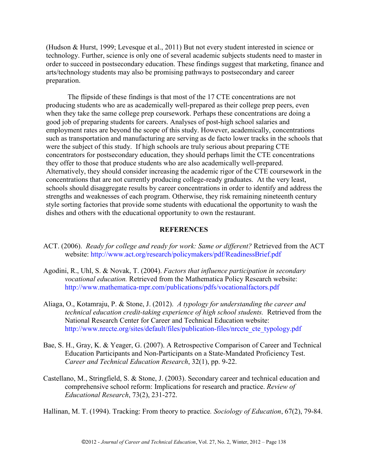(Hudson & Hurst, 1999; Levesque et al., 2011) But not every student interested in science or technology. Further, science is only one of several academic subjects students need to master in order to succeed in postsecondary education. These findings suggest that marketing, finance and arts/technology students may also be promising pathways to postsecondary and career preparation.

The flipside of these findings is that most of the 17 CTE concentrations are not producing students who are as academically well-prepared as their college prep peers, even when they take the same college prep coursework. Perhaps these concentrations are doing a good job of preparing students for careers. Analyses of post-high school salaries and employment rates are beyond the scope of this study. However, academically, concentrations such as transportation and manufacturing are serving as de facto lower tracks in the schools that were the subject of this study. If high schools are truly serious about preparing CTE concentrators for postsecondary education, they should perhaps limit the CTE concentrations they offer to those that produce students who are also academically well-prepared. Alternatively, they should consider increasing the academic rigor of the CTE coursework in the concentrations that are not currently producing college-ready graduates. At the very least, schools should disaggregate results by career concentrations in order to identify and address the strengths and weaknesses of each program. Otherwise, they risk remaining nineteenth century style sorting factories that provide some students with educational the opportunity to wash the dishes and others with the educational opportunity to own the restaurant.

## **REFERENCES**

- ACT. (2006). *Ready for college and ready for work: Same or different?* Retrieved from the ACT website:<http://www.act.org/research/policymakers/pdf/ReadinessBrief.pdf>
- Agodini, R., Uhl, S. & Novak, T. (2004). *Factors that influence participation in secondary vocational education.* Retrieved from the Mathematica Policy Research website: <http://www.mathematica-mpr.com/publications/pdfs/vocationalfactors.pdf>
- Aliaga, O., Kotamraju, P. & Stone, J. (2012). *A typology for understanding the career and technical education credit-taking experience of high school students.* Retrieved from the National Research Center for Career and Technical Education website: [http://www.nrccte.org/sites/default/files/publication-files/nrccte\\_cte\\_typology.pdf](http://www.nrccte.org/sites/default/files/publication-files/nrccte_cte_typology.pdf)
- Bae, S. H., Gray, K. & Yeager, G. (2007). A Retrospective Comparison of Career and Technical Education Participants and Non-Participants on a State-Mandated Proficiency Test. *Career and Technical Education Research*, 32(1), pp. 9-22.
- Castellano, M., Stringfield, S. & Stone, J. (2003). Secondary career and technical education and comprehensive school reform: Implications for research and practice. *Review of Educational Research*, 73(2), 231-272.

Hallinan, M. T. (1994). Tracking: From theory to practice*. Sociology of Education*, 67(2), 79-84.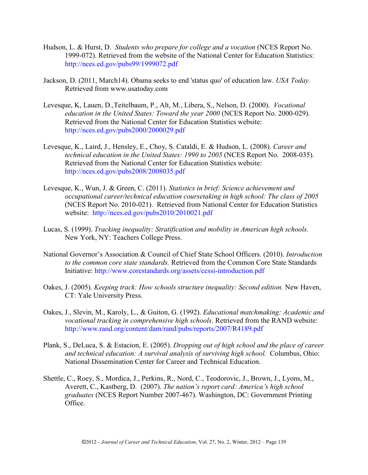- Hudson, L. & Hurst, D. *Students who prepare for college and a vocation* (NCES Report No. 1999-072). Retrieved from the website of the National Center for Education Statistics: <http://nces.ed.gov/pubs99/1999072.pdf>
- Jackson, D. (2011, March14). Obama seeks to end 'status quo' of education law. *USA Today.*  Retrieved from www.usatoday.com
- Levesque, K, Lauen, D.,Teitelbaum, P., Alt, M., Libera, S., Nelson, D. (2000). *Vocational education in the United States: Toward the year 2000* (NCES Report No. 2000-029). Retrieved from the National Center for Education Statistics website: <http://nces.ed.gov/pubs2000/2000029.pdf>
- Levesque, K., Laird, J., Hensley, E., Choy, S. Cataldi, E. & Hudson, L. (2008). *Career and technical education in the United States: 1990 to 2005* (NCES Report No. 2008-035). Retrieved from the National Center for Education Statistics website: <http://nces.ed.gov/pubs2008/2008035.pdf>
- Levesque, K., Wun, J. & Green, C. (2011). *Statistics in brief: Science achievement and occupational career/technical education coursetaking in high school: The class of 2005* (NCES Report No. 2010-021). Retrieved from National Center for Education Statistics website: <http://nces.ed.gov/pubs2010/2010021.pdf>
- Lucas, S. (1999). *Tracking inequality: Stratification and mobility in American high schools.* New York, NY: Teachers College Press.
- National Governor's Association & Council of Chief State School Officers. (2010). *Introduction to the common core state standards.* Retrieved from the Common Core State Standards Initiative:<http://www.corestandards.org/assets/ccssi-introduction.pdf>
- Oakes, J. (2005). *Keeping track: How schools structure inequality: Second edition.* New Haven, CT: Yale University Press.
- Oakes, J., Slevin, M., Karoly, L., & Guiton, G. (1992). *Educational matchmaking: Academic and vocational tracking in comprehensive high schools*. Retrieved from the RAND website: <http://www.rand.org/content/dam/rand/pubs/reports/2007/R4189.pdf>
- Plank, S., DeLuca, S. & Estacion, E. (2005). *Dropping out of high school and the place of career and technical education: A survival analysis of surviving high school.* Columbus, Ohio: National Dissemination Center for Career and Technical Education.
- Shettle, C., Roey, S., Mordica, J., Perkins, R., Nord, C., Teodorovic, J., Brown, J., Lyons, M., Averett, C., Kastberg, D. (2007). *The nation's report card: America's high school graduates* (NCES Report Number 2007-467). Washington, DC: Government Printing Office.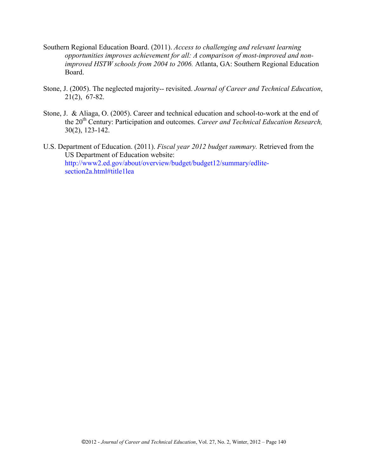- Southern Regional Education Board. (2011). *Access to challenging and relevant learning opportunities improves achievement for all: A comparison of most-improved and nonimproved HSTW schools from 2004 to 2006.* Atlanta, GA: Southern Regional Education Board.
- Stone, J. (2005). The neglected majority-- revisited. *Journal of Career and Technical Education*, 21(2), 67-82.
- Stone, J. & Aliaga, O. (2005). Career and technical education and school-to-work at the end of the 20<sup>th</sup> Century: Participation and outcomes. *Career and Technical Education Research*, 30(2), 123-142.
- U.S. Department of Education. (2011). *Fiscal year 2012 budget summary.* Retrieved from the US Department of Education website: [http://www2.ed.gov/about/overview/budget/budget12/summary/edlite](http://www2.ed.gov/about/overview/budget/budget12/summary/edlite-section2a.html#title1lea)[section2a.html#title1lea](http://www2.ed.gov/about/overview/budget/budget12/summary/edlite-section2a.html#title1lea)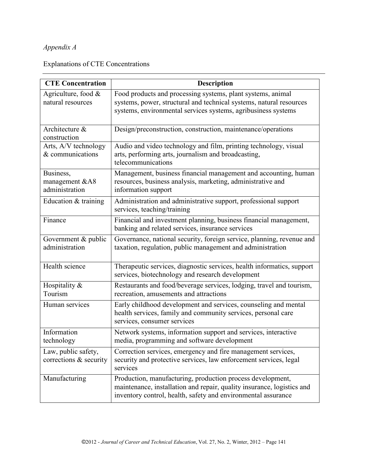# *Appendix A*

# Explanations of CTE Concentrations

| <b>CTE Concentration</b>                      | <b>Description</b>                                                                                                                                                                                    |
|-----------------------------------------------|-------------------------------------------------------------------------------------------------------------------------------------------------------------------------------------------------------|
| Agriculture, food &<br>natural resources      | Food products and processing systems, plant systems, animal<br>systems, power, structural and technical systems, natural resources<br>systems, environmental services systems, agribusiness systems   |
| Architecture &<br>construction                | Design/preconstruction, construction, maintenance/operations                                                                                                                                          |
| Arts, A/V technology<br>& communications      | Audio and video technology and film, printing technology, visual<br>arts, performing arts, journalism and broadcasting,<br>telecommunications                                                         |
| Business,<br>management &A8<br>administration | Management, business financial management and accounting, human<br>resources, business analysis, marketing, administrative and<br>information support                                                 |
| Education & training                          | Administration and administrative support, professional support<br>services, teaching/training                                                                                                        |
| Finance                                       | Financial and investment planning, business financial management,<br>banking and related services, insurance services                                                                                 |
| Government & public<br>administration         | Governance, national security, foreign service, planning, revenue and<br>taxation, regulation, public management and administration                                                                   |
| Health science                                | Therapeutic services, diagnostic services, health informatics, support<br>services, biotechnology and research development                                                                            |
| Hospitality &<br>Tourism                      | Restaurants and food/beverage services, lodging, travel and tourism,<br>recreation, amusements and attractions                                                                                        |
| Human services                                | Early childhood development and services, counseling and mental<br>health services, family and community services, personal care<br>services, consumer services                                       |
| Information<br>technology                     | Network systems, information support and services, interactive<br>media, programming and software development                                                                                         |
| Law, public safety,<br>corrections & security | Correction services, emergency and fire management services,<br>security and protective services, law enforcement services, legal<br>services                                                         |
| Manufacturing                                 | Production, manufacturing, production process development,<br>maintenance, installation and repair, quality insurance, logistics and<br>inventory control, health, safety and environmental assurance |